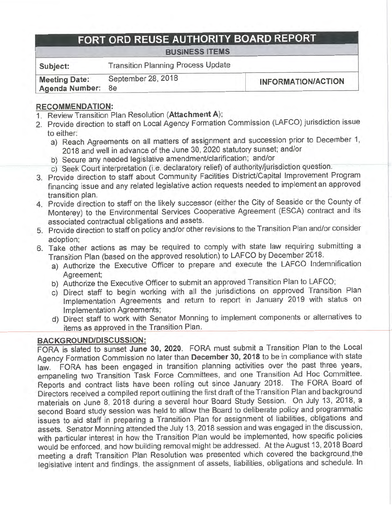# **FORT ORD REUSE AUTHORITY BOARD REPORT**

### **BUSINESS ITEMS**

**Subject:** Transition Planning Process Update

**Meeting Date:** September 28, 2018 **Meeting Date:** September 26, 2016<br> **Agenda Number:** 8e

## **RECOMMENDATION:**

- 1. Review Transition Plan Resolution **(Attachment A);**
- 2. Provide direction to staff on Local Agency Formation Commission (LAFCO) jurisdiction issue to either:
	- a) Reach Agreements on all matters of assignment and succession prior to December 1, 2018 and well in advance of the June 30, 2020 statutory sunset; and/or
	- b) Secure any needed legislative amendment/clarification; and/or
	- c) Seek Court interpretation (i.e. declaratory relief) of authority/jurisdiction question.
- 3. Provide direction to staff about Community Facilities District/Capital Improvement Program financing issue and any related legislative action requests needed to implement an approved transition plan.
- 4. Provide direction to staff on the likely successor (either the City of Seaside or the County of Monterey) to the Environmental Services Cooperative Agreement (ESCA) contract and its associated contractual obligations and assets.
- 5. Provide direction to staff on policy and/or other revisions to the Transition Plan and/or consider adoption;
- 6. Take other actions as may be required to comply with state law requiring submitting a Transition Plan (based on the approved resolution) to LAFCO by December 2018.
	- a) Authorize the Executive Officer to prepare and execute the LAFCO Indemnification Agreement;
	- b) Authorize the Executive Officer to submit an approved Transition Plan to LAFCO;
	- c) Direct staff to begin working with all the jurisdictions on approved Transition Plan Implementation Agreements and return to report in January 2019 with status on Implementation Agreements;
	- d) Direct staff to work with Senator Menning to implement components or alternatives to items as approved in the Transition Plan.

# **BACKGROUND/DISCUSSION:**

FORA is slated to sunset **June 30, 2020.** FORA must submit a Transition Plan to the Local Agency Formation Commission no later than **December 30, 2018** to be in compliance with state law. FORA has been engaged in transition planning activities over the past three years, empaneling two Transition Task Force Committees, and one Transition Ad Hoc Committee. Reports and contract lists have been rolling out since January 2018. The FORA Board of Directors received a compiled report outlining the first draft of the Transition Plan and background materials on June 8, 2018 during a several hour Board Study Session. On July 13, 2018, a second Board study session was held to allow the Board to deliberate policy and programmatic issues to aid staff in preparing a Transition Plan for assignment of liabilities, obligations and assets. Senator Menning attended the July 13, 2018 session and was engaged in the discussion, with particular interest in how the Transition Plan would be implemented, how specific policies would be enforced, and how building removal might be addressed. At the August 13, 2018 Board meeting a draft Transition Plan Resolution was presented which covered the background,the legislative intent and findings, the assignment of assets, liabilities, obligations and schedule. In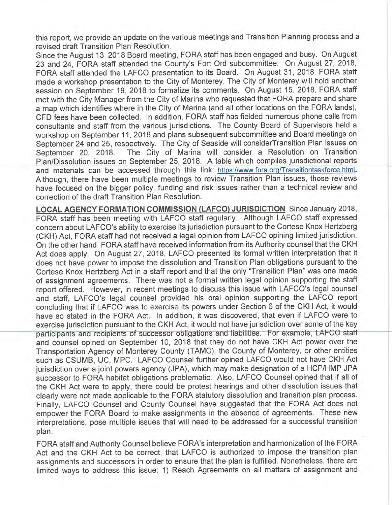this report, we provide an update on the various meetings and Transition Planning process and <sup>a</sup> revised draft Transition Plan Resolution.

Since the August 13, 2018 Board meeting, FORA staff has been engaged and busy. On August 23 and 24, FORA staff attended the County's Fort Ord subcommittee. On August 27, 2018, FORA staff attended the LAFCO presentation to its Board. On August 31, 2018, FORA staff made a workshop presentation to the City of Monterey. The City of Monterey will hold another session on September 19, 2018 to formalize its comments. On August 15, 2018, FORA staff met with the City Manager from the City of Marina who requested that FORA prepare and share a map which identifies where in the City of Marina (and all other locations on the FORA lands), CFO fees have been collected. In addition, FORA staff has fielded numerous phone calls from consultants and staff from the various jurisdictions. The County Board of Supervisors held a workshop on September 11, 2018 and plans subsequent subcommittee and Board meetings on September 24 and 25, respectively. The City of Seaside will considerTransition Plan issues on September 20, 2018. The City of Marina will consider a Resolution on Transition Plan/Dissolution issues on September 25, 2018. A table which compiles jurisdictional reports and materials can be accessed through this link: https://www.fora.org/Transitiontaskforce.html. Although, there have been multiple meetings to review Transition Plan issues, those reviews have focused on the bigger policy, funding and risk issues rather than a technical review and correction of the draft Transition Plan Resolution.

**LOCAL AGENCY FORMATION COMMISSION (LAFCO) JURISDICTION** Since January 2018, FORA staff has been meeting with LAFCO staff regularly. Although LAFCO staff expressed concern about LAFCO's ability to exercise its jurisdiction pursuant to the Cortese Knox Hertzberg (CKH) Act, FORA staff had not received a legal opinion from LAFCO opining limited jurisdiction. On the other hand, FORA staff have received information from its Authority counsel that the CKH Act does apply. On August 27, 2018, LAFCO presented its formal written interpretation that it does not have power to impose the dissolution and Transition Plan obligations pursuant to the Cortese Knox Hertzberg Act in a staff report and that the only "Transition Plan" was one made of assignment agreements. There was not a formal written legal opinion supporting the staff report offered. However, in recent meetings to discuss this issue with LAFCO's legal counsel and staff, LAFCO's legal counsel provided his oral opinion supporting the LAFCO report concluding that if LAFCO was to exercise its powers under Section 6 of the CKH Act, it would have so stated in the FORA Act. In addition, it was discovered, that even if LAFCO were to exercise jurisdiction pursuant to the CKH Act, it would not have jurisdiction over some of the key participants and recipients of successor obligations and liabilities. For example, LAFCO staff and counsel opined on September 10, 2018 that they do not have CKH Act power over the Transportation Agency of Monterey County (TAMC), the County of Monterey, or other entities such as CSUMB, UC, MPC. LAFCO Counsel further opined LAFCO would not have CKH Act jurisdiction over a joint powers agency (JPA), which may make designation of a HCP/HMP JPA successor to FORA habitat obligations problematic. Also, LAFCO Counsel opined that if all of the CKH Act were to apply, there could be protest hearings and other dissolution issues that clearly were not made applicable to the FORA statutory dissolution and transition plan process. Finally, LAFCO Counsel and County Counsel have suggested that the FORA Act does not empower the FORA Board to make assignments in the absence of agreements. These new interpretations, pose multiple issues that will need to be addressed for a successful transition plan.

FORA staff and Authority Counsel believe FORA's interpretation and harmonization of the FORA Act and the CKH Act to be correct, that LAFCO is authorized to impose the transition plan assignments and successors in order to ensure that the plan is fulfilled. Nonetheless, there are limited ways to address this issue: 1) Reach Agreements on all matters of assignment and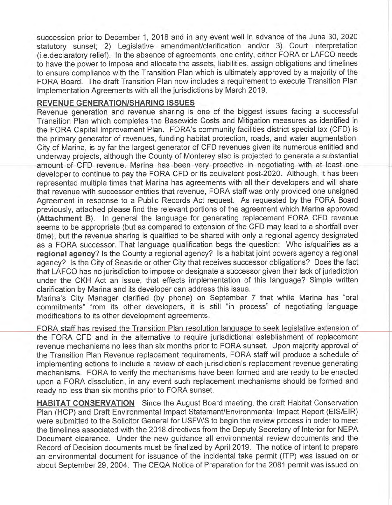succession prior to December 1, 2018 and in any event well in advance of the June 30, 2020 statutory sunset; 2) Legislative amendment/clarification and/or 3) Court interpretation (i.e.declaratory relief). In the absence of agreements, one entity, either FORA or LAFCO needs to have the power to impose and allocate the assets, liabilities, assign obligations and timelines to ensure compliance with the Transition Plan which is ultimately approved by a majority of the FORA Board. The draft Transition Plan now includes a requirement to execute Transition Plan Implementation Agreements with all the jurisdictions by March 2019.

### **REVENUE GENERATION/SHARING ISSUES**

Revenue generation and revenue sharing is one of the biggest issues facing a successful Transition Plan which completes the Basewide Costs and Mitigation measures as identified in the FORA Capital Improvement Plan. FORA's community facilities district special tax (CFO) is the primary generator of revenues, funding habitat protection, roads, and water augmentation. City of Marina, is by far the largest generator of CFO revenues given its numerous entitled and underway projects, although the County of Monterey also is projected to generate a substantial amount of CFO revenue. Marina has been very proactive in negotiating with at least one developer to continue to pay the FORA CFO or its equivalent post-2020. Although, it has been represented multiple times that Marina has agreements with all their developers and will share that revenue with successor entities that revenue, FORA staff was only provided one unsigned Agreement in response to a Public Records Act request. As requested by the FORA Board previously, attached please find the relevant portions of the agreement which Marina approved **(Attachment B).** In general the language for generating replacement FORA CFO revenue seems to be appropriate (but as compared to extension of the CFO may lead to a shortfall over time), but the revenue sharing is qualified to be shared with only a regional agency designated as a FORA successor. That language qualification begs the question: Who is/qualifies as <sup>a</sup> **regional agency?** Is the County a regional agency? Is a habitat joint powers agency a regional agency? Is the City of Seaside or other City that receives successor obligations? Does the fact that LAFCO has no jurisdiction to impose or designate a successor given their lack of jurisdiction under the CKH Act an issue, that effects implementation of this language? Simple written clarification by Marina and its developer can address this issue.

Marina's City Manager clarified (by phone) on September 7 that while Marina has "oral commitments" from its other developers, it is still "in process" of negotiating language modifications to its other development agreements.

FORA staff has revised the Transition Plan resolution language to seek legislative extension of the FORA CFO and in the alternative to require jurisdictional establishment of replacement revenue mechanisms no less than six months prior to FORA sunset. Upon majority approval of the Transition Plan Revenue replacement requirements, FORA staff will produce a schedule of implementing actions to include a review of each jurisdiction's replacement revenue generating mechanisms. FORA to verify the mechanisms have been formed and are ready to be enacted upon a FORA dissolution, in any event such replacement mechanisms should be formed and ready no less than six months prior to FORA sunset.

**HABITAT CONSERVATION** Since the August Board meeting, the draft Habitat Conservation Plan (HCP) and Draft Environmental Impact Statement/Environmental Impact Report (EIS/EIR) were submitted to the Solicitor General for USFWS to begin the review process in order to meet the timelines associated with the 2018 directives from the Deputy Secretary of Interior for NEPA Document clearance. Under the new guidance all environmental review documents and the Record of Decision documents must be finalized by April 2019. The notice of intent to prepare an environmental document for issuance of the incidental take permit (ITP) was issued on or about September 29, 2004. The CEQA Notice of Preparation for the 2081 permit was issued on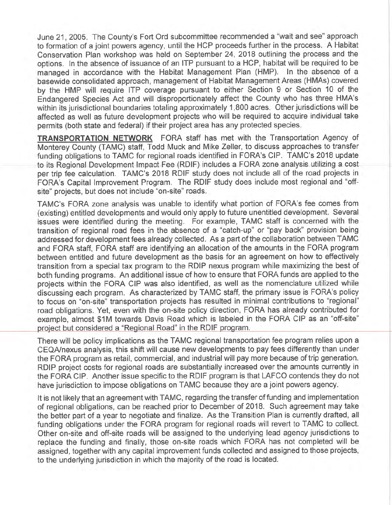June 21, 2005. The County's Fort Ord subcommittee recommended a "wait and see" approach to formation of a joint powers agency, until the HCP proceeds further in the process. A Habitat Conservation Plan workshop was held on September 24, 2018 outlining the process and the options. In the absence of issuance of an ITP pursuant to a HCP, habitat will be required to be managed in accordance with the Habitat Management Plan (HMP). In the absence of <sup>a</sup> basewide consolidated approach, management of Habitat Management Areas (HMAs) covered by the HMP will require ITP coverage pursuant to either Section 9 or Section 10 of the Endangered Species Act and will disproportionately affect the County who has three HMA's within its jurisdictional boundaries totaling approximately 1,800 acres. Other jurisdictions will be affected as well as future development projects who will be required to acquire individual take permits (both state and federal) if their project area has any protected species.

**TRANSPORTATION NETWORK** FORA staff has met with the Transportation Agency of Monterey County (TAMC) staff, Todd Muck and Mike Zeller, to discuss approaches to transfer funding obligations to TAMC for regional roads identified in FORA's CIP. TAMC's 2018 update to its Regional Development Impact Fee (RDIF) includes a FORA zone analysis utilizing a cost per trip fee calculation. TAMC's 2018 RDIF study does not include all of the road projects in FORA's Capital Improvement Program. The RDIF study does include most regional and "offsite" projects, but does not include "on-site" roads.

TAMC's FORA zone analysis was unable to identify what portion of FORA's fee comes from (existing) entitled developments and would only apply to future unentitled development. Several issues were identified during the meeting. For example, TAMC staff is concerned with the transition of regional road fees in the absence of a "catch-up" or "pay back" provision being addressed for development fees already collected. As a part of the collaboration between TAMC and FORA staff, FORA staff are identifying an allocation of the amounts in the FORA program between entitled and future development as the basis for an agreement on how to effectively transition from a special tax program to the RDIP nexus program while maximizing the best of both funding programs. An additional issue of how to ensure that FORA funds are applied to the projects within the FORA CIP was also identified, as well as the nomenclature utilized while discussing each program. As characterized by TAMC staff, the primary issue is FORA's policy to focus on "on-site" transportation projects has resulted in minimal contributions to "regional" road obligations. Yet, even with the on-site policy direction, FORA has already contributed for example, almost \$1M towards Davis Road which is labeled in the FORA CIP as an "off-site" project but considered a "Regional Road" in the RDIF program.

There will be policy implications as the TAMC regional transportation fee program relies upon a CEQA/nexus analysis, this shift will cause new developments to pay fees differently than under the FORA program as retail, commercial, and industrial will pay more because of trip generation. RDIP project costs for regional roads are substantially increased over the amounts currently in the FORA CIP. Another issue specific to the RDIF program is that LAFCO contends they do not have jurisdiction to impose obligations on TAMC because they are a joint powers agency.

It is not likely that an agreement with TAMC, regarding the transfer of funding and implementation of regional obligations, can be reached prior to December of 2018. Such agreement may take the better part of a year to negotiate and finalize. As the Transition Plan is currently drafted, all funding obligations under the FORA program for regional roads will revert to TAMC to collect. Other on-site and off-site roads will be assigned to the underlying lead agency jurisdictions to replace the funding and finally, those on-site roads which FORA has not completed will be assigned, together with any capital improvement funds collected and assigned to those projects, to the underlying jurisdiction in which the majority of the road is located.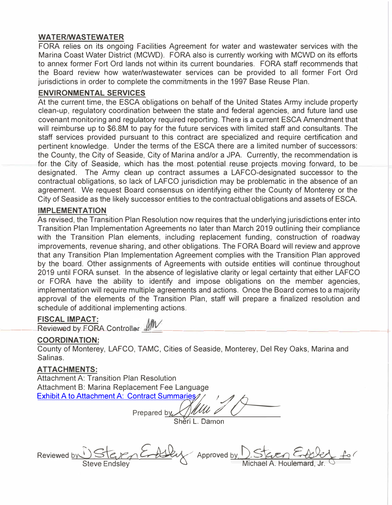### **WATER/WASTEWATER**

FORA relies on its ongoing Facilities Agreement for water and wastewater services with the Marina Coast Water District (MCWD). FORA also is currently working with MCWD on its efforts to annex former Fort Ord lands not within its current boundaries. FORA staff recommends that the Board review how water/wastewater services can be provided to all former Fort Ord jurisdictions in order to complete the commitments in the 1997 Base Reuse Plan.

### **ENVIRONMENTAL SERVICES**

At the current time, the ESCA obligations on behalf of the United States Army include property clean-up, regulatory coordination between the state and federal agencies, and future land use covenant monitoring and regulatory required reporting. There is a current ESCA Amendment that will reimburse up to \$6.SM to pay for the future services with limited staff and consultants. The staff services provided pursuant to this contract are specialized and require certification and pertinent knowledge. Under the terms of the ESCA there are a limited number of successors: the County, the City of Seaside, City of Marina and/or a JPA. Currently, the recommendation is for the City of Seaside, which has the most potential reuse projects moving forward, to be designated. The Army clean up contract assumes a LAFCO-designated successor to the contractual obligations, so lack of LAFCO jurisdiction may be problematic in the absence of an agreement. We request Board consensus on identifying either the County of Monterey or the City of Seaside as the likely successor entities to the contractual obligations and assets of ESCA.

### **IMPLEMENTATION**

As revised, the Transition Plan Resolution now requires that the underlying jurisdictions enter into Transition Plan Implementation Agreements no later than March 2019 outlining their compliance with the Transition Plan elements, including replacement funding, construction of roadway improvements, revenue sharing, and other obligations. The FORA Board will review and approve that any Transition Plan Implementation Agreement complies with the Transition Plan approved by the board. Other assignments of Agreements with outside entities will continue throughout 2019 until FORA sunset. In the absence of legislative clarity or legal certainty that either LAFCO or FORA have the ability to identify and impose obligations on the member agencies, implementation will require multiple agreements and actions. Once the Board comes to a majority approval of the elements of the Transition Plan, staff will prepare a finalized resolution and schedule of additional implementing actions.

### **FISCAL IMPACT:**

 $\frac{1}{2}$  Reviewed by FORA Controller  $\frac{1}{2}$ 

#### **COORDINATION:**

County of Monterey, LAFCO, TAMC, Cities of Seaside, Monterey, Del Rey Oaks, Marina and Salinas.

### **ATTACHMENTS:**

Attachment A: Transition Plan Resolution Attachment B: Marina Replacement Fee Language Exhibit A to [Attachment A: Contract Summaries](https://www.fora.org/Board/2018/Packet/Additional/092818_item8e_AttachmentC_Contract_Summaries.pdf)

**Prepared by** *Y jL-*

Sheri L. Damon

 $R$ eviewed <u>by DSteven E-Alley</u> Approved <u>by D. Steven E-Alley fo</u> Steve Endsley **& Contract A. Houlemard, Jr.**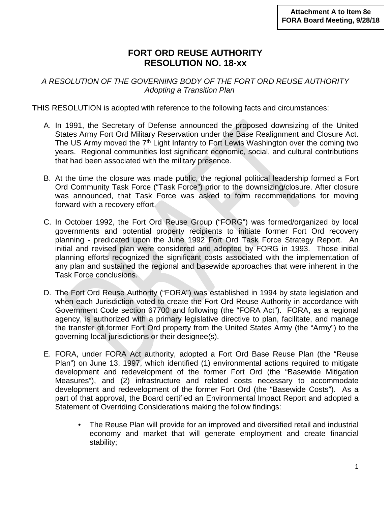# **FORT ORD REUSE AUTHORITY RESOLUTION NO. 18-xx**

*A RESOLUTION OF THE GOVERNING BODY OF THE FORT ORD REUSE AUTHORITY Adopting a Transition Plan*

THIS RESOLUTION is adopted with reference to the following facts and circumstances:

- A. In 1991, the Secretary of Defense announced the proposed downsizing of the United States Army Fort Ord Military Reservation under the Base Realignment and Closure Act. The US Army moved the 7<sup>th</sup> Light Infantry to Fort Lewis Washington over the coming two years. Regional communities lost significant economic, social, and cultural contributions that had been associated with the military presence.
- B. At the time the closure was made public, the regional political leadership formed a Fort Ord Community Task Force ("Task Force") prior to the downsizing/closure. After closure was announced, that Task Force was asked to form recommendations for moving forward with a recovery effort.
- C. In October 1992, the Fort Ord Reuse Group ("FORG") was formed/organized by local governments and potential property recipients to initiate former Fort Ord recovery planning - predicated upon the June 1992 Fort Ord Task Force Strategy Report. An initial and revised plan were considered and adopted by FORG in 1993. Those initial planning efforts recognized the significant costs associated with the implementation of any plan and sustained the regional and basewide approaches that were inherent in the Task Force conclusions.
- D. The Fort Ord Reuse Authority ("FORA") was established in 1994 by state legislation and when each Jurisdiction voted to create the Fort Ord Reuse Authority in accordance with Government Code section 67700 and following (the "FORA Act"). FORA, as a regional agency, is authorized with a primary legislative directive to plan, facilitate, and manage the transfer of former Fort Ord property from the United States Army (the "Army") to the governing local jurisdictions or their designee(s).
- E. FORA, under FORA Act authority, adopted a Fort Ord Base Reuse Plan (the "Reuse Plan") on June 13, 1997, which identified (1) environmental actions required to mitigate development and redevelopment of the former Fort Ord (the "Basewide Mitigation Measures"), and (2) infrastructure and related costs necessary to accommodate development and redevelopment of the former Fort Ord (the "Basewide Costs"). As a part of that approval, the Board certified an Environmental Impact Report and adopted a Statement of Overriding Considerations making the follow findings:
	- The Reuse Plan will provide for an improved and diversified retail and industrial economy and market that will generate employment and create financial stability;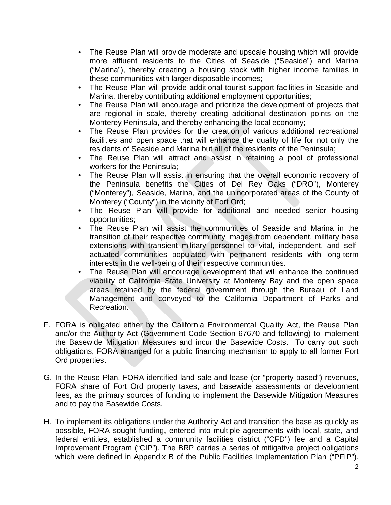- The Reuse Plan will provide moderate and upscale housing which will provide more affluent residents to the Cities of Seaside ("Seaside") and Marina ("Marina"), thereby creating a housing stock with higher income families in these communities with larger disposable incomes;
- The Reuse Plan will provide additional tourist support facilities in Seaside and Marina, thereby contributing additional employment opportunities;
- The Reuse Plan will encourage and prioritize the development of projects that are regional in scale, thereby creating additional destination points on the Monterey Peninsula, and thereby enhancing the local economy;
- The Reuse Plan provides for the creation of various additional recreational facilities and open space that will enhance the quality of life for not only the residents of Seaside and Marina but all of the residents of the Peninsula;
- The Reuse Plan will attract and assist in retaining a pool of professional workers for the Peninsula;
- The Reuse Plan will assist in ensuring that the overall economic recovery of the Peninsula benefits the Cities of Del Rey Oaks ("DRO"), Monterey ("Monterey"), Seaside, Marina, and the unincorporated areas of the County of Monterey ("County") in the vicinity of Fort Ord;
- The Reuse Plan will provide for additional and needed senior housing opportunities;
- The Reuse Plan will assist the communities of Seaside and Marina in the transition of their respective community images from dependent, military base extensions with transient military personnel to vital, independent, and selfactuated communities populated with permanent residents with long-term interests in the well-being of their respective communities.
- The Reuse Plan will encourage development that will enhance the continued viability of California State University at Monterey Bay and the open space areas retained by the federal government through the Bureau of Land Management and conveyed to the California Department of Parks and Recreation.
- F. FORA is obligated either by the California Environmental Quality Act, the Reuse Plan and/or the Authority Act (Government Code Section 67670 and following) to implement the Basewide Mitigation Measures and incur the Basewide Costs. To carry out such obligations, FORA arranged for a public financing mechanism to apply to all former Fort Ord properties.
- G. In the Reuse Plan, FORA identified land sale and lease (or "property based") revenues, FORA share of Fort Ord property taxes, and basewide assessments or development fees, as the primary sources of funding to implement the Basewide Mitigation Measures and to pay the Basewide Costs.
- H. To implement its obligations under the Authority Act and transition the base as quickly as possible, FORA sought funding, entered into multiple agreements with local, state, and federal entities, established a community facilities district ("CFD") fee and a Capital Improvement Program ("CIP"). The BRP carries a series of mitigative project obligations which were defined in Appendix B of the Public Facilities Implementation Plan ("PFIP").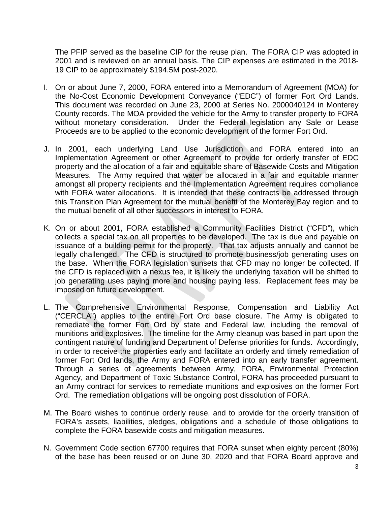The PFIP served as the baseline CIP for the reuse plan. The FORA CIP was adopted in 2001 and is reviewed on an annual basis. The CIP expenses are estimated in the 2018- 19 CIP to be approximately \$194.5M post-2020.

- I. On or about June 7, 2000, FORA entered into a Memorandum of Agreement (MOA) for the No-Cost Economic Development Conveyance ("EDC") of former Fort Ord Lands. This document was recorded on June 23, 2000 at Series No. 2000040124 in Monterey County records. The MOA provided the vehicle for the Army to transfer property to FORA without monetary consideration. Under the Federal legislation any Sale or Lease Proceeds are to be applied to the economic development of the former Fort Ord.
- J. In 2001, each underlying Land Use Jurisdiction and FORA entered into an Implementation Agreement or other Agreement to provide for orderly transfer of EDC property and the allocation of a fair and equitable share of Basewide Costs and Mitigation Measures. The Army required that water be allocated in a fair and equitable manner amongst all property recipients and the Implementation Agreement requires compliance with FORA water allocations. It is intended that these contracts be addressed through this Transition Plan Agreement for the mutual benefit of the Monterey Bay region and to the mutual benefit of all other successors in interest to FORA.
- K. On or about 2001, FORA established a Community Facilities District ("CFD"), which collects a special tax on all properties to be developed. The tax is due and payable on issuance of a building permit for the property. That tax adjusts annually and cannot be legally challenged. The CFD is structured to promote business/job generating uses on the base. When the FORA legislation sunsets that CFD may no longer be collected. If the CFD is replaced with a nexus fee, it is likely the underlying taxation will be shifted to job generating uses paying more and housing paying less. Replacement fees may be imposed on future development.
- L. The Comprehensive Environmental Response, Compensation and Liability Act ("CERCLA") applies to the entire Fort Ord base closure. The Army is obligated to remediate the former Fort Ord by state and Federal law, including the removal of munitions and explosives. The timeline for the Army cleanup was based in part upon the contingent nature of funding and Department of Defense priorities for funds. Accordingly, in order to receive the properties early and facilitate an orderly and timely remediation of former Fort Ord lands, the Army and FORA entered into an early transfer agreement. Through a series of agreements between Army, FORA, Environmental Protection Agency, and Department of Toxic Substance Control, FORA has proceeded pursuant to an Army contract for services to remediate munitions and explosives on the former Fort Ord. The remediation obligations will be ongoing post dissolution of FORA.
- M. The Board wishes to continue orderly reuse, and to provide for the orderly transition of FORA's assets, liabilities, pledges, obligations and a schedule of those obligations to complete the FORA basewide costs and mitigation measures.
- N. Government Code section 67700 requires that FORA sunset when eighty percent (80%) of the base has been reused or on June 30, 2020 and that FORA Board approve and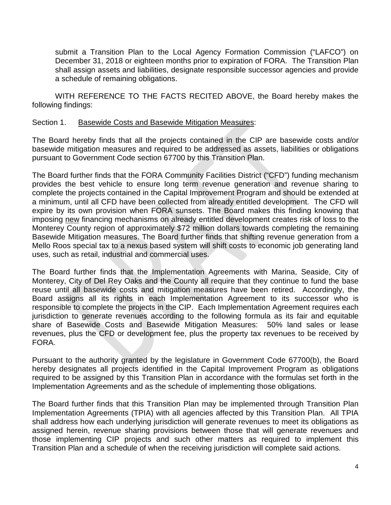submit a Transition Plan to the Local Agency Formation Commission ("LAFCO") on December 31, 2018 or eighteen months prior to expiration of FORA. The Transition Plan shall assign assets and liabilities, designate responsible successor agencies and provide a schedule of remaining obligations.

WITH REFERENCE TO THE FACTS RECITED ABOVE, the Board hereby makes the following findings:

### Section 1. Basewide Costs and Basewide Mitigation Measures:

The Board hereby finds that all the projects contained in the CIP are basewide costs and/or basewide mitigation measures and required to be addressed as assets, liabilities or obligations pursuant to Government Code section 67700 by this Transition Plan.

The Board further finds that the FORA Community Facilities District ("CFD") funding mechanism provides the best vehicle to ensure long term revenue generation and revenue sharing to complete the projects contained in the Capital Improvement Program and should be extended at a minimum, until all CFD have been collected from already entitled development. The CFD will expire by its own provision when FORA sunsets. The Board makes this finding knowing that imposing new financing mechanisms on already entitled development creates risk of loss to the Monterey County region of approximately \$72 million dollars towards completing the remaining Basewide Mitigation measures. The Board further finds that shifting revenue generation from a Mello Roos special tax to a nexus based system will shift costs to economic job generating land uses, such as retail, industrial and commercial uses.

The Board further finds that the Implementation Agreements with Marina, Seaside, City of Monterey, City of Del Rey Oaks and the County all require that they continue to fund the base reuse until all basewide costs and mitigation measures have been retired. Accordingly, the Board assigns all its rights in each Implementation Agreement to its successor who is responsible to complete the projects in the CIP. Each Implementation Agreement requires each jurisdiction to generate revenues according to the following formula as its fair and equitable share of Basewide Costs and Basewide Mitigation Measures: 50% land sales or lease revenues, plus the CFD or development fee, plus the property tax revenues to be received by FORA.

Pursuant to the authority granted by the legislature in Government Code 67700(b), the Board hereby designates all projects identified in the Capital Improvement Program as obligations required to be assigned by this Transition Plan in accordance with the formulas set forth in the Implementation Agreements and as the schedule of implementing those obligations.

The Board further finds that this Transition Plan may be implemented through Transition Plan Implementation Agreements (TPIA) with all agencies affected by this Transition Plan. All TPIA shall address how each underlying jurisdiction will generate revenues to meet its obligations as assigned herein, revenue sharing provisions between those that will generate revenues and those implementing CIP projects and such other matters as required to implement this Transition Plan and a schedule of when the receiving jurisdiction will complete said actions.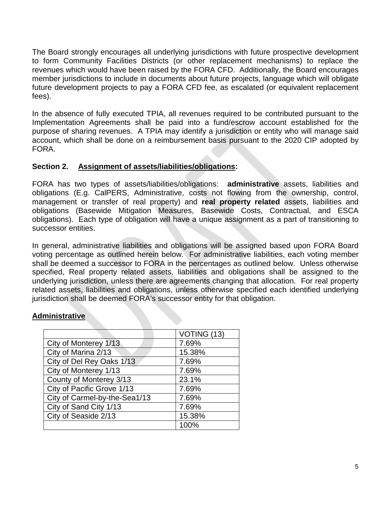The Board strongly encourages all underlying jurisdictions with future prospective development to form Community Facilities Districts (or other replacement mechanisms) to replace the revenues which would have been raised by the FORA CFD. Additionally, the Board encourages member jurisdictions to include in documents about future projects, language which will obligate future development projects to pay a FORA CFD fee, as escalated (or equivalent replacement fees).

In the absence of fully executed TPIA, all revenues required to be contributed pursuant to the Implementation Agreements shall be paid into a fund/escrow account established for the purpose of sharing revenues. A TPIA may identify a jurisdiction or entity who will manage said account, which shall be done on a reimbursement basis pursuant to the 2020 CIP adopted by FORA.

### **Section 2. Assignment of assets/liabilities/obligations:**

FORA has two types of assets/liabilities/obligations: **administrative** assets, liabilities and obligations (E.g. CalPERS, Administrative, costs not flowing from the ownership, control, management or transfer of real property) and **real property related** assets, liabilities and obligations (Basewide Mitigation Measures, Basewide Costs, Contractual, and ESCA obligations). Each type of obligation will have a unique assignment as a part of transitioning to successor entities.

In general, administrative liabilities and obligations will be assigned based upon FORA Board voting percentage as outlined herein below. For administrative liabilities, each voting member shall be deemed a successor to FORA in the percentages as outlined below. Unless otherwise specified, Real property related assets, liabilities and obligations shall be assigned to the underlying jurisdiction, unless there are agreements changing that allocation. For real property related assets, liabilities and obligations, unless otherwise specified each identified underlying jurisdiction shall be deemed FORA's successor entity for that obligation.

# **Administrative**

|                               | VOTING (13) |
|-------------------------------|-------------|
| City of Monterey 1/13         | 7.69%       |
| City of Marina 2/13           | 15.38%      |
| City of Del Rey Oaks 1/13     | 7.69%       |
| City of Monterey 1/13         | 7.69%       |
| County of Monterey 3/13       | 23.1%       |
| City of Pacific Grove 1/13    | 7.69%       |
| City of Carmel-by-the-Sea1/13 | 7.69%       |
| City of Sand City 1/13        | 7.69%       |
| City of Seaside 2/13          | 15.38%      |
|                               | 100%        |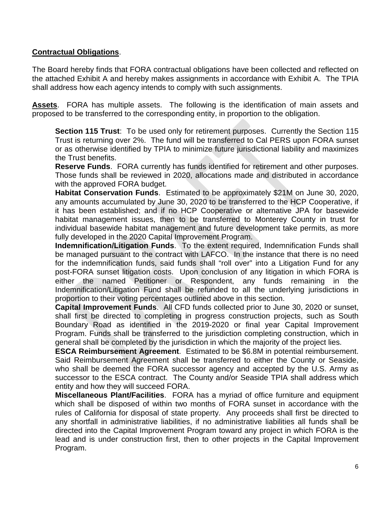## **Contractual Obligations**.

The Board hereby finds that FORA contractual obligations have been collected and reflected on the attached Exhibit A and hereby makes assignments in accordance with Exhibit A. The TPIA shall address how each agency intends to comply with such assignments.

**Assets**. FORA has multiple assets. The following is the identification of main assets and proposed to be transferred to the corresponding entity, in proportion to the obligation.

**Section 115 Trust**: To be used only for retirement purposes. Currently the Section 115 Trust is returning over 2%. The fund will be transferred to Cal PERS upon FORA sunset or as otherwise identified by TPIA to minimize future jurisdictional liability and maximizes the Trust benefits.

**Reserve Funds**. FORA currently has funds identified for retirement and other purposes. Those funds shall be reviewed in 2020, allocations made and distributed in accordance with the approved FORA budget.

**Habitat Conservation Funds**. Estimated to be approximately \$21M on June 30, 2020, any amounts accumulated by June 30, 2020 to be transferred to the HCP Cooperative, if it has been established; and if no HCP Cooperative or alternative JPA for basewide habitat management issues, then to be transferred to Monterey County in trust for individual basewide habitat management and future development take permits, as more fully developed in the 2020 Capital Improvement Program.

**Indemnification/Litigation Funds**. To the extent required, Indemnification Funds shall be managed pursuant to the contract with LAFCO. In the instance that there is no need for the indemnification funds, said funds shall "roll over" into a Litigation Fund for any post-FORA sunset litigation costs. Upon conclusion of any litigation in which FORA is either the named Petitioner or Respondent, any funds remaining in the Indemnification/Litigation Fund shall be refunded to all the underlying jurisdictions in proportion to their voting percentages outlined above in this section.

**Capital Improvement Funds**. All CFD funds collected prior to June 30, 2020 or sunset, shall first be directed to completing in progress construction projects, such as South Boundary Road as identified in the 2019-2020 or final year Capital Improvement Program. Funds shall be transferred to the jurisdiction completing construction, which in general shall be completed by the jurisdiction in which the majority of the project lies.

**ESCA Reimbursement Agreement**. Estimated to be \$6.8M in potential reimbursement. Said Reimbursement Agreement shall be transferred to either the County or Seaside, who shall be deemed the FORA successor agency and accepted by the U.S. Army as successor to the ESCA contract. The County and/or Seaside TPIA shall address which entity and how they will succeed FORA.

**Miscellaneous Plant/Facilities**.FORA has a myriad of office furniture and equipment which shall be disposed of within two months of FORA sunset in accordance with the rules of California for disposal of state property. Any proceeds shall first be directed to any shortfall in administrative liabilities, if no administrative liabilities all funds shall be directed into the Capital Improvement Program toward any project in which FORA is the lead and is under construction first, then to other projects in the Capital Improvement Program.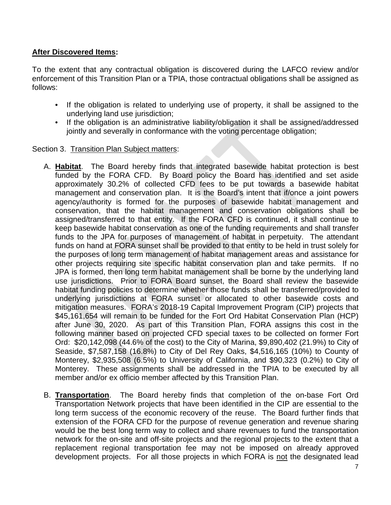# **After Discovered Items:**

To the extent that any contractual obligation is discovered during the LAFCO review and/or enforcement of this Transition Plan or a TPIA, those contractual obligations shall be assigned as follows:

- If the obligation is related to underlying use of property, it shall be assigned to the underlying land use jurisdiction;
- If the obligation is an administrative liability/obligation it shall be assigned/addressed jointly and severally in conformance with the voting percentage obligation;

### Section 3. Transition Plan Subject matters:

- A. **Habitat**. The Board hereby finds that integrated basewide habitat protection is best funded by the FORA CFD. By Board policy the Board has identified and set aside approximately 30.2% of collected CFD fees to be put towards a basewide habitat management and conservation plan. It is the Board's intent that if/once a joint powers agency/authority is formed for the purposes of basewide habitat management and conservation, that the habitat management and conservation obligations shall be assigned/transferred to that entity. If the FORA CFD is continued, it shall continue to keep basewide habitat conservation as one of the funding requirements and shall transfer funds to the JPA for purposes of management of habitat in perpetuity. The attendant funds on hand at FORA sunset shall be provided to that entity to be held in trust solely for the purposes of long term management of habitat management areas and assistance for other projects requiring site specific habitat conservation plan and take permits. If no JPA is formed, then long term habitat management shall be borne by the underlying land use jurisdictions. Prior to FORA Board sunset, the Board shall review the basewide habitat funding policies to determine whether those funds shall be transferred/provided to underlying jurisdictions at FORA sunset or allocated to other basewide costs and mitigation measures. FORA's 2018-19 Capital Improvement Program (CIP) projects that \$45,161,654 will remain to be funded for the Fort Ord Habitat Conservation Plan (HCP) after June 30, 2020. As part of this Transition Plan, FORA assigns this cost in the following manner based on projected CFD special taxes to be collected on former Fort Ord: \$20,142,098 (44.6% of the cost) to the City of Marina, \$9,890,402 (21.9%) to City of Seaside, \$7,587,158 (16.8%) to City of Del Rey Oaks, \$4,516,165 (10%) to County of Monterey, \$2,935,508 (6.5%) to University of California, and \$90,323 (0.2%) to City of Monterey. These assignments shall be addressed in the TPIA to be executed by all member and/or ex officio member affected by this Transition Plan.
- B. **Transportation**. The Board hereby finds that completion of the on-base Fort Ord Transportation Network projects that have been identified in the CIP are essential to the long term success of the economic recovery of the reuse. The Board further finds that extension of the FORA CFD for the purpose of revenue generation and revenue sharing would be the best long term way to collect and share revenues to fund the transportation network for the on-site and off-site projects and the regional projects to the extent that a replacement regional transportation fee may not be imposed on already approved development projects. For all those projects in which FORA is not the designated lead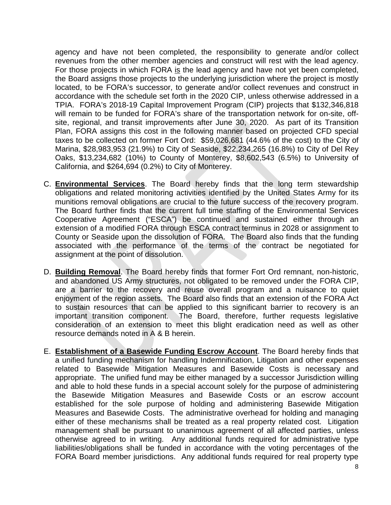agency and have not been completed, the responsibility to generate and/or collect revenues from the other member agencies and construct will rest with the lead agency. For those projects in which FORA is the lead agency and have not yet been completed, the Board assigns those projects to the underlying jurisdiction where the project is mostly located, to be FORA's successor, to generate and/or collect revenues and construct in accordance with the schedule set forth in the 2020 CIP, unless otherwise addressed in a TPIA. FORA's 2018-19 Capital Improvement Program (CIP) projects that \$132,346,818 will remain to be funded for FORA's share of the transportation network for on-site, offsite, regional, and transit improvements after June 30, 2020. As part of its Transition Plan, FORA assigns this cost in the following manner based on projected CFD special taxes to be collected on former Fort Ord: \$59,026,681 (44.6% of the cost) to the City of Marina, \$28,983,953 (21.9%) to City of Seaside, \$22,234,265 (16.8%) to City of Del Rey Oaks, \$13,234,682 (10%) to County of Monterey, \$8,602,543 (6.5%) to University of California, and \$264,694 (0.2%) to City of Monterey.

- C. **Environmental Services**. The Board hereby finds that the long term stewardship obligations and related monitoring activities identified by the United States Army for its munitions removal obligations are crucial to the future success of the recovery program. The Board further finds that the current full time staffing of the Environmental Services Cooperative Agreement ("ESCA") be continued and sustained either through an extension of a modified FORA through ESCA contract terminus in 2028 or assignment to County or Seaside upon the dissolution of FORA. The Board also finds that the funding associated with the performance of the terms of the contract be negotiated for assignment at the point of dissolution.
- D. **Building Removal**. The Board hereby finds that former Fort Ord remnant, non-historic, and abandoned US Army structures, not obligated to be removed under the FORA CIP, are a barrier to the recovery and reuse overall program and a nuisance to quiet enjoyment of the region assets. The Board also finds that an extension of the FORA Act to sustain resources that can be applied to this significant barrier to recovery is an important transition component. The Board, therefore, further requests legislative consideration of an extension to meet this blight eradication need as well as other resource demands noted in A & B herein.
- E. **Establishment of a Basewide Funding Escrow Account**. The Board hereby finds that a unified funding mechanism for handling Indemnification, Litigation and other expenses related to Basewide Mitigation Measures and Basewide Costs is necessary and appropriate. The unified fund may be either managed by a successor Jurisdiction willing and able to hold these funds in a special account solely for the purpose of administering the Basewide Mitigation Measures and Basewide Costs or an escrow account established for the sole purpose of holding and administering Basewide Mitigation Measures and Basewide Costs. The administrative overhead for holding and managing either of these mechanisms shall be treated as a real property related cost. Litigation management shall be pursuant to unanimous agreement of all affected parties, unless otherwise agreed to in writing. Any additional funds required for administrative type liabilities/obligations shall be funded in accordance with the voting percentages of the FORA Board member jurisdictions. Any additional funds required for real property type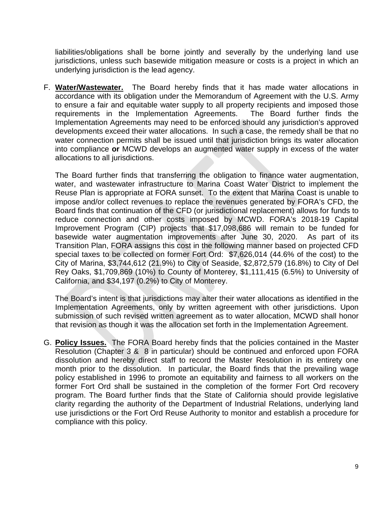liabilities/obligations shall be borne jointly and severally by the underlying land use jurisdictions, unless such basewide mitigation measure or costs is a project in which an underlying jurisdiction is the lead agency.

F. **Water/Wastewater.** The Board hereby finds that it has made water allocations in accordance with its obligation under the Memorandum of Agreement with the U.S. Army to ensure a fair and equitable water supply to all property recipients and imposed those requirements in the Implementation Agreements. The Board further finds the Implementation Agreements may need to be enforced should any jurisdiction's approved developments exceed their water allocations. In such a case, the remedy shall be that no water connection permits shall be issued until that jurisdiction brings its water allocation into compliance **or** MCWD develops an augmented water supply in excess of the water allocations to all jurisdictions.

The Board further finds that transferring the obligation to finance water augmentation, water, and wastewater infrastructure to Marina Coast Water District to implement the Reuse Plan is appropriate at FORA sunset. To the extent that Marina Coast is unable to impose and/or collect revenues to replace the revenues generated by FORA's CFD, the Board finds that continuation of the CFD (or jurisdictional replacement) allows for funds to reduce connection and other costs imposed by MCWD. FORA's 2018-19 Capital Improvement Program (CIP) projects that \$17,098,686 will remain to be funded for basewide water augmentation improvements after June 30, 2020. As part of its Transition Plan, FORA assigns this cost in the following manner based on projected CFD special taxes to be collected on former Fort Ord: \$7,626,014 (44.6% of the cost) to the City of Marina, \$3,744,612 (21.9%) to City of Seaside, \$2,872,579 (16.8%) to City of Del Rey Oaks, \$1,709,869 (10%) to County of Monterey, \$1,111,415 (6.5%) to University of California, and \$34,197 (0.2%) to City of Monterey.

The Board's intent is that jurisdictions may alter their water allocations as identified in the Implementation Agreements, only by written agreement with other jurisdictions. Upon submission of such revised written agreement as to water allocation, MCWD shall honor that revision as though it was the allocation set forth in the Implementation Agreement.

G. **Policy Issues.** The FORA Board hereby finds that the policies contained in the Master Resolution (Chapter 3 & 8 in particular) should be continued and enforced upon FORA dissolution and hereby direct staff to record the Master Resolution in its entirety one month prior to the dissolution. In particular, the Board finds that the prevailing wage policy established in 1996 to promote an equitability and fairness to all workers on the former Fort Ord shall be sustained in the completion of the former Fort Ord recovery program. The Board further finds that the State of California should provide legislative clarity regarding the authority of the Department of Industrial Relations, underlying land use jurisdictions or the Fort Ord Reuse Authority to monitor and establish a procedure for compliance with this policy.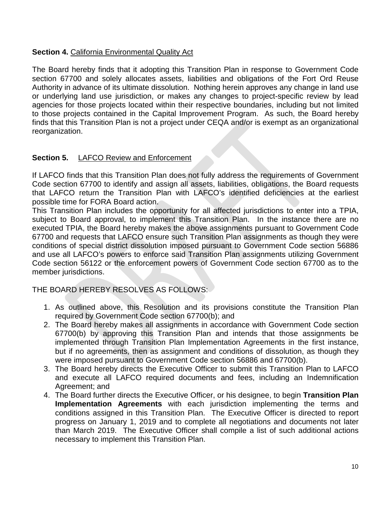# **Section 4.** California Environmental Quality Act

The Board hereby finds that it adopting this Transition Plan in response to Government Code section 67700 and solely allocates assets, liabilities and obligations of the Fort Ord Reuse Authority in advance of its ultimate dissolution. Nothing herein approves any change in land use or underlying land use jurisdiction, or makes any changes to project-specific review by lead agencies for those projects located within their respective boundaries, including but not limited to those projects contained in the Capital Improvement Program. As such, the Board hereby finds that this Transition Plan is not a project under CEQA and/or is exempt as an organizational reorganization.

# **Section 5.** LAFCO Review and Enforcement

If LAFCO finds that this Transition Plan does not fully address the requirements of Government Code section 67700 to identify and assign all assets, liabilities, obligations, the Board requests that LAFCO return the Transition Plan with LAFCO's identified deficiencies at the earliest possible time for FORA Board action.

This Transition Plan includes the opportunity for all affected jurisdictions to enter into a TPIA, subject to Board approval, to implement this Transition Plan. In the instance there are no executed TPIA, the Board hereby makes the above assignments pursuant to Government Code 67700 and requests that LAFCO ensure such Transition Plan assignments as though they were conditions of special district dissolution imposed pursuant to Government Code section 56886 and use all LAFCO's powers to enforce said Transition Plan assignments utilizing Government Code section 56122 or the enforcement powers of Government Code section 67700 as to the member jurisdictions.

THE BOARD HEREBY RESOLVES AS FOLLOWS:

- 1. As outlined above, this Resolution and its provisions constitute the Transition Plan required by Government Code section 67700(b); and
- 2. The Board hereby makes all assignments in accordance with Government Code section 67700(b) by approving this Transition Plan and intends that those assignments be implemented through Transition Plan Implementation Agreements in the first instance, but if no agreements, then as assignment and conditions of dissolution, as though they were imposed pursuant to Government Code section 56886 and 67700(b).
- 3. The Board hereby directs the Executive Officer to submit this Transition Plan to LAFCO and execute all LAFCO required documents and fees, including an Indemnification Agreement; and
- 4. The Board further directs the Executive Officer, or his designee, to begin **Transition Plan Implementation Agreements** with each jurisdiction implementing the terms and conditions assigned in this Transition Plan. The Executive Officer is directed to report progress on January 1, 2019 and to complete all negotiations and documents not later than March 2019. The Executive Officer shall compile a list of such additional actions necessary to implement this Transition Plan.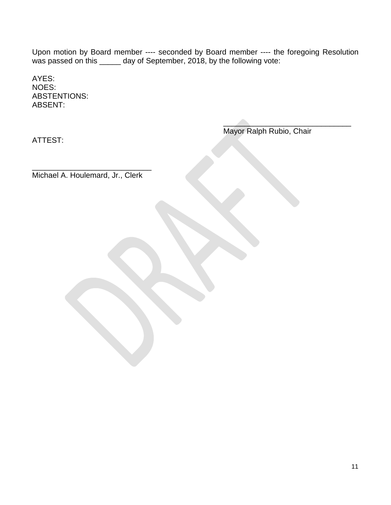Upon motion by Board member ---- seconded by Board member ---- the foregoing Resolution was passed on this \_\_\_\_\_ day of September, 2018, by the following vote:

 $\mathcal{L}$  , and the contract of the contract of the contract of the contract of the contract of the contract of the contract of the contract of the contract of the contract of the contract of the contract of the contract o

AYES: NOES: ABSTENTIONS: ABSENT:

ATTEST:

Mayor Ralph Rubio, Chair

\_\_\_\_\_\_\_\_\_\_\_\_\_\_\_\_\_\_\_\_\_\_\_\_\_\_\_\_ Michael A. Houlemard, Jr., Clerk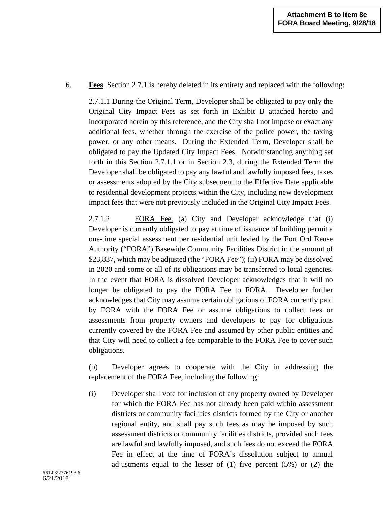### 6. **Fees**. Section 2.7.1 is hereby deleted in its entirety and replaced with the following:

2.7.1.1 During the Original Term, Developer shall be obligated to pay only the Original City Impact Fees as set forth in Exhibit B attached hereto and incorporated herein by this reference, and the City shall not impose or exact any additional fees, whether through the exercise of the police power, the taxing power, or any other means. During the Extended Term, Developer shall be obligated to pay the Updated City Impact Fees. Notwithstanding anything set forth in this Section 2.7.1.1 or in Section 2.3, during the Extended Term the Developer shall be obligated to pay any lawful and lawfully imposed fees, taxes or assessments adopted by the City subsequent to the Effective Date applicable to residential development projects within the City, including new development impact fees that were not previously included in the Original City Impact Fees.

2.7.1.2 FORA Fee. (a) City and Developer acknowledge that (i) Developer is currently obligated to pay at time of issuance of building permit a one-time special assessment per residential unit levied by the Fort Ord Reuse Authority ("FORA") Basewide Community Facilities District in the amount of \$23,837, which may be adjusted (the "FORA Fee"); (ii) FORA may be dissolved in 2020 and some or all of its obligations may be transferred to local agencies. In the event that FORA is dissolved Developer acknowledges that it will no longer be obligated to pay the FORA Fee to FORA. Developer further acknowledges that City may assume certain obligations of FORA currently paid by FORA with the FORA Fee or assume obligations to collect fees or assessments from property owners and developers to pay for obligations currently covered by the FORA Fee and assumed by other public entities and that City will need to collect a fee comparable to the FORA Fee to cover such obligations.

(b) Developer agrees to cooperate with the City in addressing the replacement of the FORA Fee, including the following:

(i) Developer shall vote for inclusion of any property owned by Developer for which the FORA Fee has not already been paid within assessment districts or community facilities districts formed by the City or another regional entity, and shall pay such fees as may be imposed by such assessment districts or community facilities districts, provided such fees are lawful and lawfully imposed, and such fees do not exceed the FORA Fee in effect at the time of FORA's dissolution subject to annual adjustments equal to the lesser of (1) five percent (5%) or (2) the